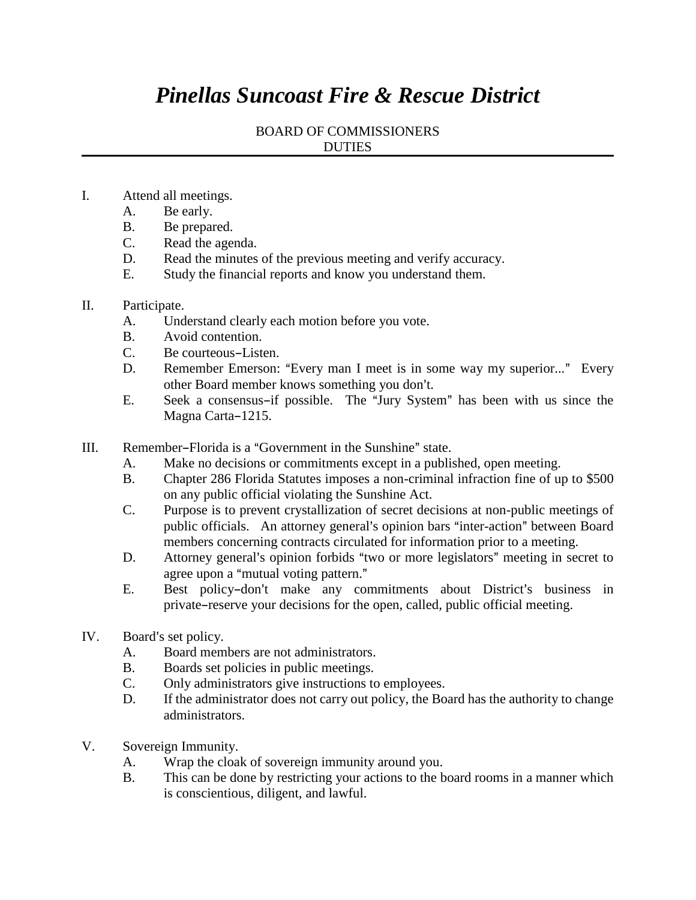## *Pinellas Suncoast Fire & Rescue District*

## BOARD OF COMMISSIONERS DUTIES

- I. Attend all meetings.
	- A. Be early.
	- B. Be prepared.
	- C. Read the agenda.
	- D. Read the minutes of the previous meeting and verify accuracy.
	- E. Study the financial reports and know you understand them.

## II. Participate.

- A. Understand clearly each motion before you vote.
- B. Avoid contention.
- C. Be courteous–Listen.
- D. Remember Emerson: "Every man I meet is in some way my superior..." Every other Board member knows something you don't.
- E. Seek a consensus-if possible. The "Jury System" has been with us since the Magna Carta-1215.
- III. Remember-Florida is a "Government in the Sunshine" state.
	- A. Make no decisions or commitments except in a published, open meeting.
	- B. Chapter 286 Florida Statutes imposes a non-criminal infraction fine of up to \$500 on any public official violating the Sunshine Act.
	- C. Purpose is to prevent crystallization of secret decisions at non-public meetings of public officials. An attorney general's opinion bars "inter-action" between Board members concerning contracts circulated for information prior to a meeting.
	- D. Attorney general's opinion forbids "two or more legislators" meeting in secret to agree upon a "mutual voting pattern."
	- E. Best policy-don't make any commitments about District's business in private–reserve your decisions for the open, called, public official meeting.
- IV. Board's set policy.
	- A. Board members are not administrators.
	- B. Boards set policies in public meetings.
	- C. Only administrators give instructions to employees.
	- D. If the administrator does not carry out policy, the Board has the authority to change administrators.
- V. Sovereign Immunity.
	- A. Wrap the cloak of sovereign immunity around you.
	- B. This can be done by restricting your actions to the board rooms in a manner which is conscientious, diligent, and lawful.